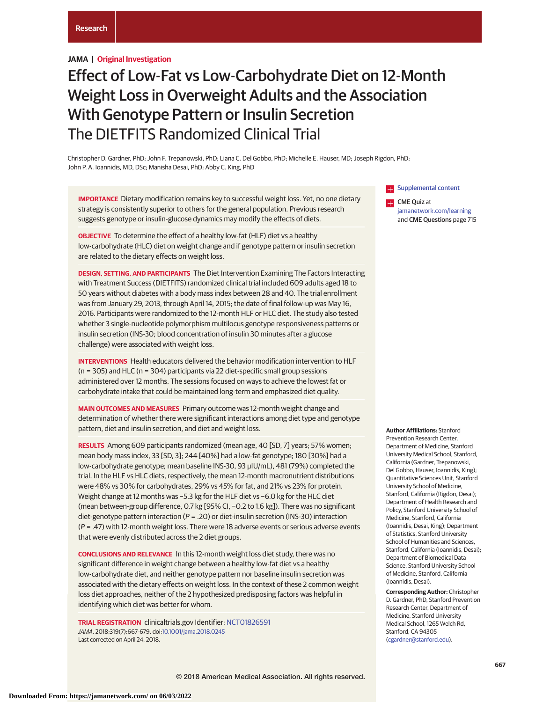# **JAMA | Original Investigation**

# Effect of Low-Fat vs Low-Carbohydrate Diet on 12-Month Weight Loss in Overweight Adults and the Association With Genotype Pattern or Insulin Secretion The DIETFITS Randomized Clinical Trial

Christopher D. Gardner, PhD; John F. Trepanowski, PhD; Liana C. Del Gobbo, PhD; Michelle E. Hauser, MD; Joseph Rigdon, PhD; John P. A. Ioannidis, MD, DSc; Manisha Desai, PhD; Abby C. King, PhD

**IMPORTANCE** Dietary modification remains key to successful weight loss. Yet, no one dietary strategy is consistently superior to others for the general population. Previous research suggests genotype or insulin-glucose dynamics may modify the effects of diets.

**OBJECTIVE** To determine the effect of a healthy low-fat (HLF) diet vs a healthy low-carbohydrate (HLC) diet on weight change and if genotype pattern or insulin secretion are related to the dietary effects on weight loss.

**DESIGN, SETTING, AND PARTICIPANTS** The Diet Intervention Examining The Factors Interacting with Treatment Success (DIETFITS) randomized clinical trial included 609 adults aged 18 to 50 years without diabetes with a body mass index between 28 and 40. The trial enrollment was from January 29, 2013, through April 14, 2015; the date of final follow-up was May 16, 2016. Participants were randomized to the 12-month HLF or HLC diet. The study also tested whether 3 single-nucleotide polymorphism multilocus genotype responsiveness patterns or insulin secretion (INS-30; blood concentration of insulin 30 minutes after a glucose challenge) were associated with weight loss.

**INTERVENTIONS** Health educators delivered the behavior modification intervention to HLF (n = 305) and HLC (n = 304) participants via 22 diet-specific small group sessions administered over 12 months. The sessions focused on ways to achieve the lowest fat or carbohydrate intake that could be maintained long-term and emphasized diet quality.

**MAIN OUTCOMES AND MEASURES** Primary outcome was 12-month weight change and determination of whether there were significant interactions among diet type and genotype pattern, diet and insulin secretion, and diet and weight loss.

**RESULTS** Among 609 participants randomized (mean age, 40 [SD, 7] years; 57% women; mean body mass index, 33 [SD, 3]; 244 [40%] had a low-fat genotype; 180 [30%] had a low-carbohydrate genotype; mean baseline INS-30, 93 μIU/mL), 481 (79%) completed the trial. In the HLF vs HLC diets, respectively, the mean 12-month macronutrient distributions were 48% vs 30% for carbohydrates, 29% vs 45% for fat, and 21% vs 23% for protein. Weight change at 12 months was −5.3 kg for the HLF diet vs −6.0 kg for the HLC diet (mean between-group difference, 0.7 kg [95% CI, −0.2 to 1.6 kg]). There was no significant diet-genotype pattern interaction ( $P = .20$ ) or diet-insulin secretion (INS-30) interaction  $(P = .47)$  with 12-month weight loss. There were 18 adverse events or serious adverse events that were evenly distributed across the 2 diet groups.

**CONCLUSIONS AND RELEVANCE** In this 12-month weight loss diet study, there was no significant difference in weight change between a healthy low-fat diet vs a healthy low-carbohydrate diet, and neither genotype pattern nor baseline insulin secretion was associated with the dietary effects on weight loss. In the context of these 2 common weight loss diet approaches, neither of the 2 hypothesized predisposing factors was helpful in identifying which diet was better for whom.

**TRIAL REGISTRATION** clinicaltrials.gov Identifier: [NCT01826591](http://clinicaltrials.gov/show/NCT01826591) JAMA. 2018;319(7):667-679. doi[:10.1001/jama.2018.0245](https://jama.jamanetwork.com/article.aspx?doi=10.1001/jama.2018.0245&utm_campaign=articlePDF%26utm_medium=articlePDFlink%26utm_source=articlePDF%26utm_content=jama.2018.0245) Last corrected on April 24, 2018.

**Examplemental content** 

**CME** Quiz at [jamanetwork.com/learning](http://www.jamanetwork.com/learning/?utm_campaign=articlePDF%26utm_medium=articlePDFlink%26utm_source=articlePDF%26utm_content=jama.2018.0245) and CME Questions page 715

**Author Affiliations:** Stanford Prevention Research Center, Department of Medicine, Stanford University Medical School, Stanford, California (Gardner, Trepanowski, Del Gobbo, Hauser, Ioannidis, King); Quantitative Sciences Unit, Stanford University School of Medicine, Stanford, California (Rigdon, Desai); Department of Health Research and Policy, Stanford University School of Medicine, Stanford, California (Ioannidis, Desai, King); Department of Statistics, Stanford University School of Humanities and Sciences, Stanford, California (Ioannidis, Desai); Department of Biomedical Data Science, Stanford University School of Medicine, Stanford, California (Ioannidis, Desai).

**Corresponding Author:** Christopher D. Gardner, PhD, Stanford Prevention Research Center, Department of Medicine, Stanford University Medical School, 1265 Welch Rd, Stanford, CA 94305 [\(cgardner@stanford.edu\)](mailto:cgardner@stanford.edu).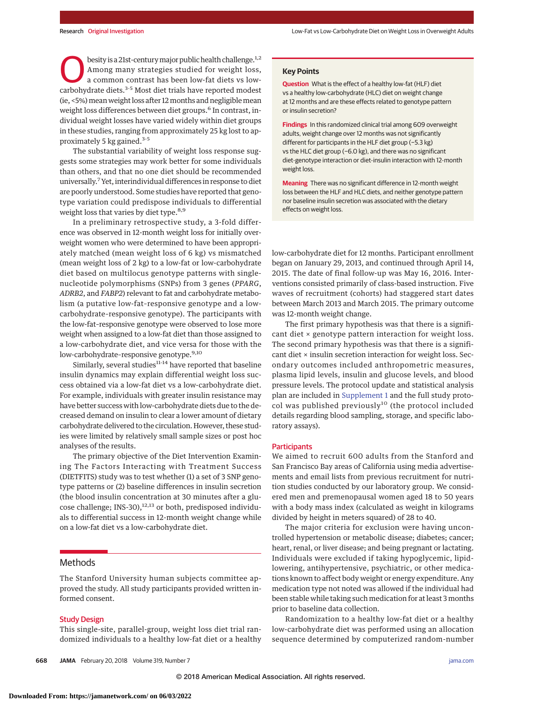besity is a 21st-century major public health challenge.<sup>1,2</sup> Among many strategies studied for weight loss, a common contrast has been low-fat diets vs lowcarbohydrate diets.<sup>3-5</sup> Most diet trials have reported modest (ie, <5%)mean weight loss after 12months and negligiblemean weight loss differences between diet groups.<sup>6</sup> In contrast, individual weight losses have varied widely within diet groups in these studies, ranging from approximately 25 kg lost to approximately 5 kg gained.<sup>3-5</sup>

The substantial variability of weight loss response suggests some strategies may work better for some individuals than others, and that no one diet should be recommended universally.7Yet, interindividual differences in response to diet are poorly understood. Some studies have reported that genotype variation could predispose individuals to differential weight loss that varies by diet type.<sup>8,9</sup>

In a preliminary retrospective study, a 3-fold difference was observed in 12-month weight loss for initially overweight women who were determined to have been appropriately matched (mean weight loss of 6 kg) vs mismatched (mean weight loss of 2 kg) to a low-fat or low-carbohydrate diet based on multilocus genotype patterns with singlenucleotide polymorphisms (SNPs) from 3 genes (*PPARG*, *ADRB2*, and *FABP2*) relevant to fat and carbohydrate metabolism (a putative low-fat–responsive genotype and a lowcarbohydrate–responsive genotype). The participants with the low-fat–responsive genotype were observed to lose more weight when assigned to a low-fat diet than those assigned to a low-carbohydrate diet, and vice versa for those with the low-carbohydrate-responsive genotype.<sup>9,10</sup>

Similarly, several studies $11-14$  have reported that baseline insulin dynamics may explain differential weight loss success obtained via a low-fat diet vs a low-carbohydrate diet. For example, individuals with greater insulin resistance may have better success with low-carbohydrate diets due to the decreased demand on insulin to clear a lower amount of dietary carbohydrate delivered to the circulation. However, these studies were limited by relatively small sample sizes or post hoc analyses of the results.

The primary objective of the Diet Intervention Examining The Factors Interacting with Treatment Success (DIETFITS) study was to test whether (1) a set of 3 SNP genotype patterns or (2) baseline differences in insulin secretion (the blood insulin concentration at 30 minutes after a glucose challenge; INS-30), $12,13$  or both, predisposed individuals to differential success in 12-month weight change while on a low-fat diet vs a low-carbohydrate diet.

# Methods

The Stanford University human subjects committee approved the study. All study participants provided written informed consent.

## Study Design

This single-site, parallel-group, weight loss diet trial randomized individuals to a healthy low-fat diet or a healthy **Key Points**

**Question** What is the effect of a healthy low-fat (HLF) diet vs a healthy low-carbohydrate (HLC) diet on weight change at 12 months and are these effects related to genotype pattern or insulin secretion?

**Findings** In this randomized clinical trial among 609 overweight adults, weight change over 12 months was not significantly different for participants in the HLF diet group (−5.3 kg) vs the HLC diet group (−6.0 kg), and there was no significant diet-genotype interaction or diet-insulin interaction with 12-month weight loss.

**Meaning** There was no significant difference in 12-month weight loss between the HLF and HLC diets, and neither genotype pattern nor baseline insulin secretion was associated with the dietary effects on weight loss.

low-carbohydrate diet for 12 months. Participant enrollment began on January 29, 2013, and continued through April 14, 2015. The date of final follow-up was May 16, 2016. Interventions consisted primarily of class-based instruction. Five waves of recruitment (cohorts) had staggered start dates between March 2013 and March 2015. The primary outcome was 12-month weight change.

The first primary hypothesis was that there is a significant diet × genotype pattern interaction for weight loss. The second primary hypothesis was that there is a significant diet × insulin secretion interaction for weight loss. Secondary outcomes included anthropometric measures, plasma lipid levels, insulin and glucose levels, and blood pressure levels. The protocol update and statistical analysis plan are included in [Supplement 1](https://jama.jamanetwork.com/article.aspx?doi=10.1001/jama.2018.0245&utm_campaign=articlePDF%26utm_medium=articlePDFlink%26utm_source=articlePDF%26utm_content=jama.2018.0245) and the full study protocol was published previously<sup>10</sup> (the protocol included details regarding blood sampling, storage, and specific laboratory assays).

#### **Participants**

We aimed to recruit 600 adults from the Stanford and San Francisco Bay areas of California using media advertisements and email lists from previous recruitment for nutrition studies conducted by our laboratory group. We considered men and premenopausal women aged 18 to 50 years with a body mass index (calculated as weight in kilograms divided by height in meters squared) of 28 to 40.

The major criteria for exclusion were having uncontrolled hypertension or metabolic disease; diabetes; cancer; heart, renal, or liver disease; and being pregnant or lactating. Individuals were excluded if taking hypoglycemic, lipidlowering, antihypertensive, psychiatric, or other medications known to affect body weight or energy expenditure. Any medication type not noted was allowed if the individual had been stable while taking such medication for at least 3 months prior to baseline data collection.

Randomization to a healthy low-fat diet or a healthy low-carbohydrate diet was performed using an allocation sequence determined by computerized random-number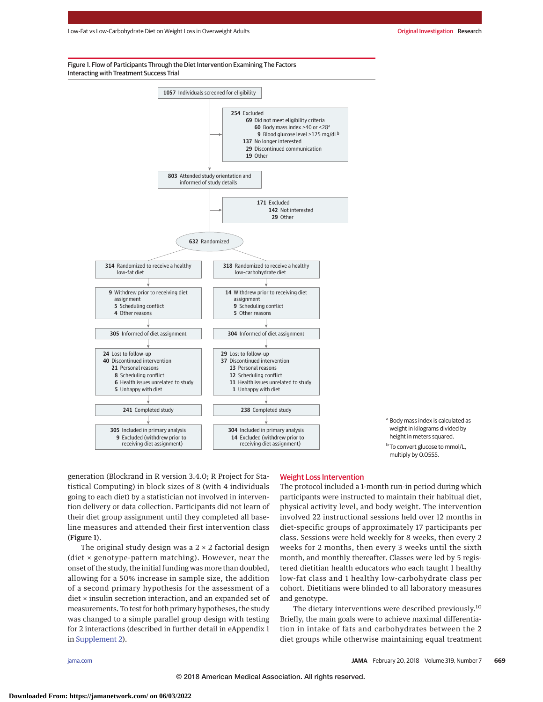Low-Fat vs Low-Carbohydrate Diet on Weight Loss in Overweight Adults **Communist Communist Communist Communist Communist Communist Communist Communist Communist Communist Communist Communist Communist Communist Communist Co** 







generation (Blockrand in R version 3.4.0; R Project for Statistical Computing) in block sizes of 8 (with 4 individuals going to each diet) by a statistician not involved in intervention delivery or data collection. Participants did not learn of their diet group assignment until they completed all baseline measures and attended their first intervention class (Figure 1).

The original study design was a  $2 \times 2$  factorial design (diet × genotype-pattern matching). However, near the onset of the study, the initial funding was more than doubled, allowing for a 50% increase in sample size, the addition of a second primary hypothesis for the assessment of a diet × insulin secretion interaction, and an expanded set of measurements. To test for both primary hypotheses, the study was changed to a simple parallel group design with testing for 2 interactions (described in further detail in eAppendix 1 in [Supplement 2\)](http://jama.jamanetwork.com/article.aspx?doi=10.1001/jama.2018.0245&utm_campaign=articlePDF%26utm_medium=articlePDFlink%26utm_source=articlePDF%26utm_content=jama.2018.0245).

# Weight Loss Intervention

The protocol included a 1-month run-in period during which participants were instructed to maintain their habitual diet, physical activity level, and body weight. The intervention involved 22 instructional sessions held over 12 months in diet-specific groups of approximately 17 participants per class. Sessions were held weekly for 8 weeks, then every 2 weeks for 2 months, then every 3 weeks until the sixth month, and monthly thereafter. Classes were led by 5 registered dietitian health educators who each taught 1 healthy low-fat class and 1 healthy low-carbohydrate class per cohort. Dietitians were blinded to all laboratory measures and genotype.

The dietary interventions were described previously.<sup>10</sup> Briefly, the main goals were to achieve maximal differentiation in intake of fats and carbohydrates between the 2 diet groups while otherwise maintaining equal treatment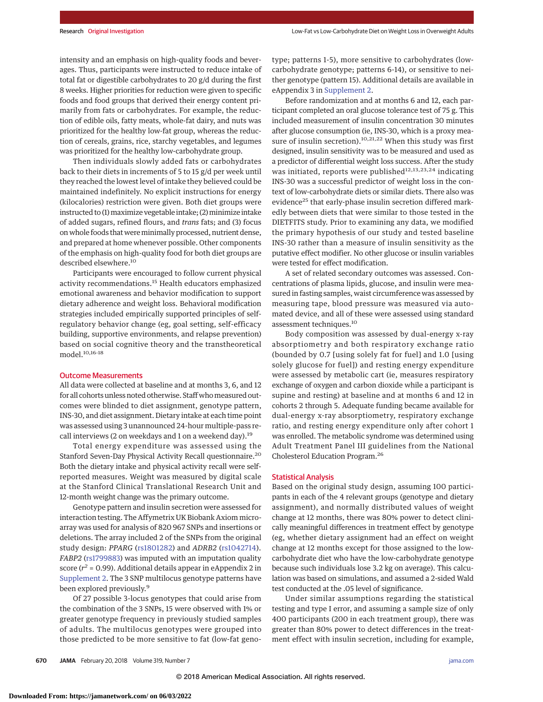intensity and an emphasis on high-quality foods and beverages. Thus, participants were instructed to reduce intake of total fat or digestible carbohydrates to 20 g/d during the first 8 weeks. Higher priorities for reduction were given to specific foods and food groups that derived their energy content primarily from fats or carbohydrates. For example, the reduction of edible oils, fatty meats, whole-fat dairy, and nuts was prioritized for the healthy low-fat group, whereas the reduction of cereals, grains, rice, starchy vegetables, and legumes was prioritized for the healthy low-carbohydrate group.

Then individuals slowly added fats or carbohydrates back to their diets in increments of 5 to 15 g/d per week until they reached the lowest level of intake they believed could be maintained indefinitely. No explicit instructions for energy (kilocalories) restriction were given. Both diet groups were instructed to (1)maximize vegetable intake; (2)minimize intake of added sugars, refined flours, and *trans* fats; and (3) focus on whole foods that were minimally processed, nutrient dense, and prepared at home whenever possible. Other components of the emphasis on high-quality food for both diet groups are described elsewhere.<sup>10</sup>

Participants were encouraged to follow current physical activity recommendations.<sup>15</sup> Health educators emphasized emotional awareness and behavior modification to support dietary adherence and weight loss. Behavioral modification strategies included empirically supported principles of selfregulatory behavior change (eg, goal setting, self-efficacy building, supportive environments, and relapse prevention) based on social cognitive theory and the transtheoretical model.10,16-18

## Outcome Measurements

All data were collected at baseline and at months 3, 6, and 12 for all cohorts unless noted otherwise. Staff who measured outcomes were blinded to diet assignment, genotype pattern, INS-30, and diet assignment. Dietary intake at each time point was assessed using 3 unannounced 24-hour multiple-pass recall interviews (2 on weekdays and 1 on a weekend day).<sup>19</sup>

Total energy expenditure was assessed using the Stanford Seven-Day Physical Activity Recall questionnaire.<sup>20</sup> Both the dietary intake and physical activity recall were selfreported measures. Weight was measured by digital scale at the Stanford Clinical Translational Research Unit and 12-month weight change was the primary outcome.

Genotype pattern and insulin secretion were assessed for interaction testing. The Affymetrix UK Biobank Axiom microarray was used for analysis of 820 967 SNPs and insertions or deletions. The array included 2 of the SNPs from the original study design: *PPARG* [\(rs1801282\)](https://www.ncbi.nlm.nih.gov/snp/1801282) and *ADRB2* [\(rs1042714\)](https://www.ncbi.nlm.nih.gov/snp/1042714). *FABP2* [\(rs1799883\)](https://www.ncbi.nlm.nih.gov/snp/1799883) was imputed with an imputation quality score  $(r^2 = 0.99)$ . Additional details appear in eAppendix 2 in [Supplement 2.](http://jama.jamanetwork.com/article.aspx?doi=10.1001/jama.2018.0245&utm_campaign=articlePDF%26utm_medium=articlePDFlink%26utm_source=articlePDF%26utm_content=jama.2018.0245) The 3 SNP multilocus genotype patterns have been explored previously.<sup>9</sup>

Of 27 possible 3-locus genotypes that could arise from the combination of the 3 SNPs, 15 were observed with 1% or greater genotype frequency in previously studied samples of adults. The multilocus genotypes were grouped into those predicted to be more sensitive to fat (low-fat genotype; patterns 1-5), more sensitive to carbohydrates (lowcarbohydrate genotype; patterns 6-14), or sensitive to neither genotype (pattern 15). Additional details are available in eAppendix 3 in [Supplement 2.](http://jama.jamanetwork.com/article.aspx?doi=10.1001/jama.2018.0245&utm_campaign=articlePDF%26utm_medium=articlePDFlink%26utm_source=articlePDF%26utm_content=jama.2018.0245)

Before randomization and at months 6 and 12, each participant completed an oral glucose tolerance test of 75 g. This included measurement of insulin concentration 30 minutes after glucose consumption (ie, INS-30, which is a proxy measure of insulin secretion).<sup>10,21,22</sup> When this study was first designed, insulin sensitivity was to be measured and used as a predictor of differential weight loss success. After the study was initiated, reports were published<sup>12,13,23,24</sup> indicating INS-30 was a successful predictor of weight loss in the context of low-carbohydrate diets or similar diets. There also was evidence<sup>25</sup> that early-phase insulin secretion differed markedly between diets that were similar to those tested in the DIETFITS study. Prior to examining any data, we modified the primary hypothesis of our study and tested baseline INS-30 rather than a measure of insulin sensitivity as the putative effect modifier. No other glucose or insulin variables were tested for effect modification.

A set of related secondary outcomes was assessed. Concentrations of plasma lipids, glucose, and insulin were measured in fasting samples, waist circumference was assessed by measuring tape, blood pressure was measured via automated device, and all of these were assessed using standard assessment techniques.<sup>10</sup>

Body composition was assessed by dual-energy x-ray absorptiometry and both respiratory exchange ratio (bounded by 0.7 [using solely fat for fuel] and 1.0 [using solely glucose for fuel]) and resting energy expenditure were assessed by metabolic cart (ie, measures respiratory exchange of oxygen and carbon dioxide while a participant is supine and resting) at baseline and at months 6 and 12 in cohorts 2 through 5. Adequate funding became available for dual-energy x-ray absorptiometry, respiratory exchange ratio, and resting energy expenditure only after cohort 1 was enrolled. The metabolic syndrome was determined using Adult Treatment Panel III guidelines from the National Cholesterol Education Program.26

#### Statistical Analysis

Based on the original study design, assuming 100 participants in each of the 4 relevant groups (genotype and dietary assignment), and normally distributed values of weight change at 12 months, there was 80% power to detect clinically meaningful differences in treatment effect by genotype (eg, whether dietary assignment had an effect on weight change at 12 months except for those assigned to the lowcarbohydrate diet who have the low-carbohydrate genotype because such individuals lose 3.2 kg on average). This calculation was based on simulations, and assumed a 2-sided Wald test conducted at the .05 level of significance.

Under similar assumptions regarding the statistical testing and type I error, and assuming a sample size of only 400 participants (200 in each treatment group), there was greater than 80% power to detect differences in the treatment effect with insulin secretion, including for example,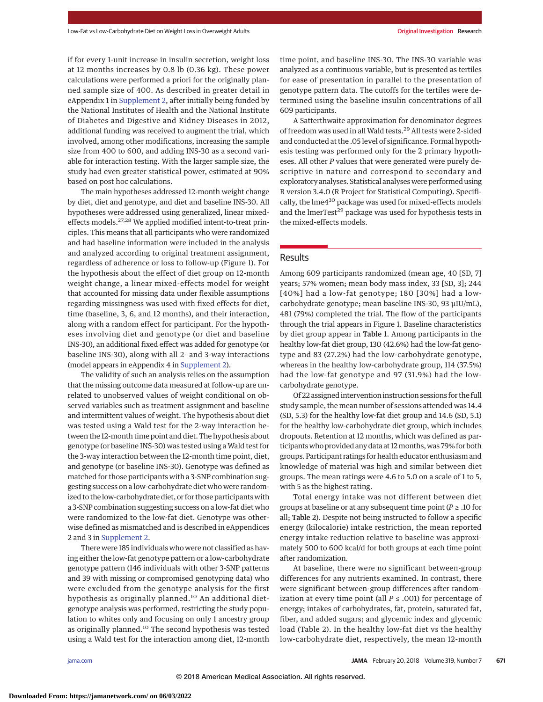if for every 1-unit increase in insulin secretion, weight loss at 12 months increases by 0.8 lb (0.36 kg). These power calculations were performed a priori for the originally planned sample size of 400. As described in greater detail in eAppendix 1 in [Supplement 2,](http://jama.jamanetwork.com/article.aspx?doi=10.1001/jama.2018.0245&utm_campaign=articlePDF%26utm_medium=articlePDFlink%26utm_source=articlePDF%26utm_content=jama.2018.0245) after initially being funded by the National Institutes of Health and the National Institute of Diabetes and Digestive and Kidney Diseases in 2012, additional funding was received to augment the trial, which involved, among other modifications, increasing the sample size from 400 to 600, and adding INS-30 as a second variable for interaction testing. With the larger sample size, the study had even greater statistical power, estimated at 90% based on post hoc calculations.

The main hypotheses addressed 12-month weight change by diet, diet and genotype, and diet and baseline INS-30. All hypotheses were addressed using generalized, linear mixedeffects models.<sup>27,28</sup> We applied modified intent-to-treat principles. This means that all participants who were randomized and had baseline information were included in the analysis and analyzed according to original treatment assignment, regardless of adherence or loss to follow-up (Figure 1). For the hypothesis about the effect of diet group on 12-month weight change, a linear mixed-effects model for weight that accounted for missing data under flexible assumptions regarding missingness was used with fixed effects for diet, time (baseline, 3, 6, and 12 months), and their interaction, along with a random effect for participant. For the hypotheses involving diet and genotype (or diet and baseline INS-30), an additional fixed effect was added for genotype (or baseline INS-30), along with all 2- and 3-way interactions (model appears in eAppendix 4 in [Supplement 2\)](http://jama.jamanetwork.com/article.aspx?doi=10.1001/jama.2018.0245&utm_campaign=articlePDF%26utm_medium=articlePDFlink%26utm_source=articlePDF%26utm_content=jama.2018.0245).

The validity of such an analysis relies on the assumption that the missing outcome data measured at follow-up are unrelated to unobserved values of weight conditional on observed variables such as treatment assignment and baseline and intermittent values of weight. The hypothesis about diet was tested using a Wald test for the 2-way interaction between the 12-month time point and diet. The hypothesis about genotype (or baseline INS-30) was tested using a Wald test for the 3-way interaction between the 12-month time point, diet, and genotype (or baseline INS-30). Genotype was defined as matched for those participants with a 3-SNP combination suggesting success on a low-carbohydrate diet who were randomized to the low-carbohydrate diet, or for those participants with a 3-SNP combination suggesting success on a low-fat diet who were randomized to the low-fat diet. Genotype was otherwise defined as mismatched and is described in eAppendices 2 and 3 in [Supplement 2.](http://jama.jamanetwork.com/article.aspx?doi=10.1001/jama.2018.0245&utm_campaign=articlePDF%26utm_medium=articlePDFlink%26utm_source=articlePDF%26utm_content=jama.2018.0245)

There were 185 individuals who were not classified as having either the low-fat genotype pattern or a low-carbohydrate genotype pattern (146 individuals with other 3-SNP patterns and 39 with missing or compromised genotyping data) who were excluded from the genotype analysis for the first hypothesis as originally planned.<sup>10</sup> An additional dietgenotype analysis was performed, restricting the study population to whites only and focusing on only 1 ancestry group as originally planned.<sup>10</sup> The second hypothesis was tested using a Wald test for the interaction among diet, 12-month

time point, and baseline INS-30. The INS-30 variable was analyzed as a continuous variable, but is presented as tertiles for ease of presentation in parallel to the presentation of genotype pattern data. The cutoffs for the tertiles were determined using the baseline insulin concentrations of all 609 participants.

A Satterthwaite approximation for denominator degrees of freedom was used in all Wald tests.<sup>29</sup> All tests were 2-sided and conducted at the .05 level of significance. Formal hypothesis testing was performed only for the 2 primary hypotheses. All other *P* values that were generated were purely descriptive in nature and correspond to secondary and exploratory analyses. Statistical analyseswere performed using R version 3.4.0 (R Project for Statistical Computing). Specifically, the lme4<sup>30</sup> package was used for mixed-effects models and the lmerTest<sup>29</sup> package was used for hypothesis tests in the mixed-effects models.

# Results

Among 609 participants randomized (mean age, 40 [SD, 7] years; 57% women; mean body mass index, 33 [SD, 3]; 244 [40%] had a low-fat genotype; 180 [30%] had a lowcarbohydrate genotype; mean baseline INS-30, 93 μIU/mL), 481 (79%) completed the trial. The flow of the participants through the trial appears in Figure 1. Baseline characteristics by diet group appear in Table 1. Among participants in the healthy low-fat diet group, 130 (42.6%) had the low-fat genotype and 83 (27.2%) had the low-carbohydrate genotype, whereas in the healthy low-carbohydrate group, 114 (37.5%) had the low-fat genotype and 97 (31.9%) had the lowcarbohydrate genotype.

Of 22 assigned intervention instruction sessions for the full study sample, the mean number of sessions attended was 14.4 (SD, 5.3) for the healthy low-fat diet group and 14.6 (SD, 5.1) for the healthy low-carbohydrate diet group, which includes dropouts. Retention at 12 months, which was defined as participants who provided any data at 12 months, was 79% for both groups. Participant ratings for health educator enthusiasm and knowledge of material was high and similar between diet groups. The mean ratings were 4.6 to 5.0 on a scale of 1 to 5, with 5 as the highest rating.

Total energy intake was not different between diet groups at baseline or at any subsequent time point (*P* ≥ .10 for all; Table 2). Despite not being instructed to follow a specific energy (kilocalorie) intake restriction, the mean reported energy intake reduction relative to baseline was approximately 500 to 600 kcal/d for both groups at each time point after randomization.

At baseline, there were no significant between-group differences for any nutrients examined. In contrast, there were significant between-group differences after randomization at every time point (all  $P \leq .001$ ) for percentage of energy; intakes of carbohydrates, fat, protein, saturated fat, fiber, and added sugars; and glycemic index and glycemic load (Table 2). In the healthy low-fat diet vs the healthy low-carbohydrate diet, respectively, the mean 12-month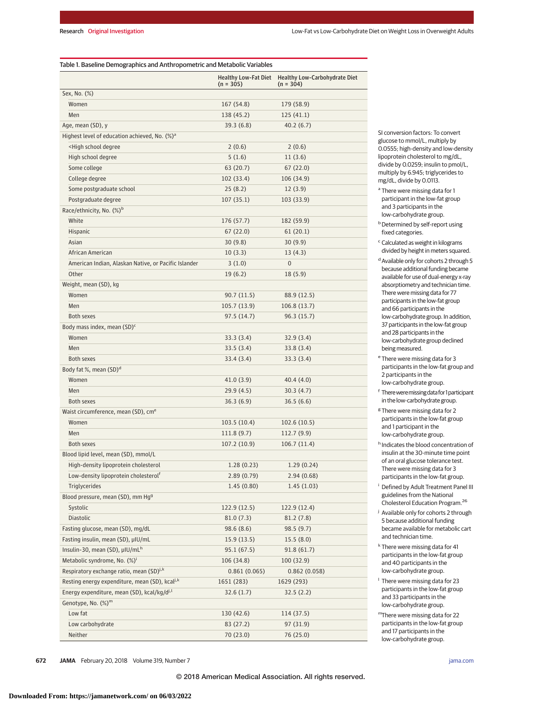|                                                                        | <b>Healthy Low-Fat Diet</b><br>$(n = 305)$ | <b>Healthy Low-Carbohydrate Diet</b><br>(n = 304) |  |  |
|------------------------------------------------------------------------|--------------------------------------------|---------------------------------------------------|--|--|
| Sex, No. (%)                                                           |                                            |                                                   |  |  |
| Women                                                                  | 167 (54.8)                                 | 179 (58.9)                                        |  |  |
| Men                                                                    | 138 (45.2)                                 | 125 (41.1)                                        |  |  |
| Age, mean (SD), y                                                      | 39.3 (6.8)                                 | 40.2 (6.7)                                        |  |  |
| Highest level of education achieved, No. (%) <sup>a</sup>              |                                            |                                                   |  |  |
| <high degree<="" school="" td=""><td>2(0.6)</td><td>2(0.6)</td></high> | 2(0.6)                                     | 2(0.6)                                            |  |  |
| High school degree                                                     | 5(1.6)                                     | 11(3.6)                                           |  |  |
| Some college                                                           | 63 (20.7)                                  | 67 (22.0)                                         |  |  |
| College degree                                                         | 102 (33.4)                                 | 106 (34.9)                                        |  |  |
| Some postgraduate school                                               | 25 (8.2)                                   | 12(3.9)                                           |  |  |
| Postgraduate degree                                                    | 107(35.1)                                  | 103 (33.9)                                        |  |  |
| Race/ethnicity, No. (%) <sup>b</sup>                                   |                                            |                                                   |  |  |
| White                                                                  | 176 (57.7)                                 | 182 (59.9)                                        |  |  |
| Hispanic                                                               | 67 (22.0)                                  | 61 (20.1)                                         |  |  |
| Asian                                                                  | 30 (9.8)                                   | 30 (9.9)                                          |  |  |
| African American                                                       | 10(3.3)                                    | 13(4.3)                                           |  |  |
| American Indian, Alaskan Native, or Pacific Islander                   | 3(1.0)                                     | $\mathbf{0}$                                      |  |  |
| Other                                                                  | 19 (6.2)                                   | 18 (5.9)                                          |  |  |
| Weight, mean (SD), kg                                                  |                                            |                                                   |  |  |
| Women                                                                  | 90.7 (11.5)                                | 88.9 (12.5)                                       |  |  |
| Men                                                                    | 105.7 (13.9)                               | 106.8(13.7)                                       |  |  |
| <b>Both sexes</b>                                                      | 97.5 (14.7)                                | 96.3 (15.7)                                       |  |  |
| Body mass index, mean (SD) <sup>c</sup>                                |                                            |                                                   |  |  |
| Women                                                                  |                                            |                                                   |  |  |
| Men                                                                    | 33.3 (3.4)<br>33.5 (3.4)                   | 32.9 (3.4)<br>33.8 (3.4)                          |  |  |
| <b>Both sexes</b>                                                      |                                            |                                                   |  |  |
|                                                                        | 33.4 (3.4)                                 | 33.3 (3.4)                                        |  |  |
| Body fat %, mean (SD) <sup>d</sup>                                     |                                            |                                                   |  |  |
| Women                                                                  | 41.0(3.9)                                  | 40.4 (4.0)                                        |  |  |
| Men                                                                    | 29.9 (4.5)                                 | 30.3 (4.7)                                        |  |  |
| <b>Both sexes</b>                                                      | 36.3(6.9)                                  | 36.5(6.6)                                         |  |  |
| Waist circumference, mean (SD), cm <sup>e</sup>                        |                                            |                                                   |  |  |
| Women                                                                  | 103.5(10.4)                                | 102.6(10.5)                                       |  |  |
| Men                                                                    | 111.8(9.7)                                 | 112.7 (9.9)                                       |  |  |
| Both sexes                                                             | 107.2 (10.9)                               | 106.7(11.4)                                       |  |  |
| Blood lipid level, mean (SD), mmol/L                                   |                                            |                                                   |  |  |
| High-density lipoprotein cholesterol                                   | 1.28(0.23)                                 | 1.29(0.24)                                        |  |  |
| Low-density lipoprotein cholesterol <sup>f</sup>                       | 2.89(0.79)                                 | 2.94(0.68)                                        |  |  |
| <b>Triglycerides</b>                                                   | 1.45(0.80)                                 | 1.45(1.03)                                        |  |  |
| Blood pressure, mean (SD), mm Hg <sup>9</sup>                          |                                            |                                                   |  |  |
| Systolic                                                               | 122.9 (12.5)                               | 122.9 (12.4)                                      |  |  |
| Diastolic                                                              | 81.0(7.3)                                  | 81.2(7.8)                                         |  |  |
| Fasting glucose, mean (SD), mg/dL                                      | 98.6(8.6)                                  | 98.5(9.7)                                         |  |  |
| Fasting insulin, mean (SD), µIU/mL                                     | 15.9 (13.5)                                | 15.5(8.0)                                         |  |  |
| Insulin-30, mean (SD), µIU/mL <sup>h</sup>                             | 95.1(67.5)                                 | 91.8(61.7)                                        |  |  |
| Metabolic syndrome, No. (%) <sup>i</sup>                               | 106 (34.8)                                 | 100(32.9)                                         |  |  |
| Respiratory exchange ratio, mean (SD) <sup>j,k</sup>                   | 0.861(0.065)                               | 0.862(0.058)                                      |  |  |
| Resting energy expenditure, mean (SD), kcali,k                         | 1651 (283)                                 | 1629 (293)                                        |  |  |
| Energy expenditure, mean (SD), kcal/kg/di,l                            | 32.6(1.7)                                  | 32.5(2.2)                                         |  |  |
| Genotype, No. (%) <sup>m</sup>                                         |                                            |                                                   |  |  |
| Low fat                                                                | 130 (42.6)                                 | 114 (37.5)                                        |  |  |
| Low carbohydrate                                                       | 83 (27.2)                                  | 97 (31.9)                                         |  |  |
| Neither                                                                | 70(23.0)                                   | 76 (25.0)                                         |  |  |

SI conversion factors: To convert glucose to mmol/L, multiply by 0.0555; high-density and low-density lipoprotein cholesterol to mg/dL, divide by 0.0259; insulin to pmol/L, multiply by 6.945; triglycerides to mg/dL, divide by 0.0113.

<sup>a</sup> There were missing data for 1 participant in the low-fat group and 3 participants in the low-carbohydrate group.

**b** Determined by self-report using fixed categories.

<sup>c</sup> Calculated as weight in kilograms divided by height in meters squared.

<sup>d</sup> Available only for cohorts 2 through 5 because additional funding became available for use of dual-energy x-ray absorptiometry and technician time. There were missing data for 77 participants in the low-fat group and 66 participants in the low-carbohydrate group. In addition, 37 participants in the low-fat group and 28 participants in the low-carbohydrate group declined being measured.

<sup>e</sup> There were missing data for 3 participants in the low-fat group and 2 participants in the low-carbohydrate group.

<sup>f</sup> Thereweremissingdata for1participant in the low-carbohydrate group.

- <sup>g</sup> There were missing data for 2 participants in the low-fat group and 1 participant in the low-carbohydrate group.
- h Indicates the blood concentration of insulin at the 30-minute time point of an oral glucose tolerance test. There were missing data for 3 participants in the low-fat group.
- Defined by Adult Treatment Panel III guidelines from the National Cholesterol Education Program.26
- <sup>j</sup> Available only for cohorts 2 through 5 because additional funding became available for metabolic cart and technician time.
- <sup>k</sup> There were missing data for 41 participants in the low-fat group and 40 participants in the low-carbohydrate group.

<sup>l</sup> There were missing data for 23 participants in the low-fat group and 33 participants in the low-carbohydrate group.

mThere were missing data for 22 participants in the low-fat group and 17 participants in the low-carbohydrate group.

**672 JAMA** February 20, 2018 Volume 319, Number 7 **(Reprinted)** [jama.com](http://www.jama.com/?utm_campaign=articlePDF%26utm_medium=articlePDFlink%26utm_source=articlePDF%26utm_content=jama.2018.0245)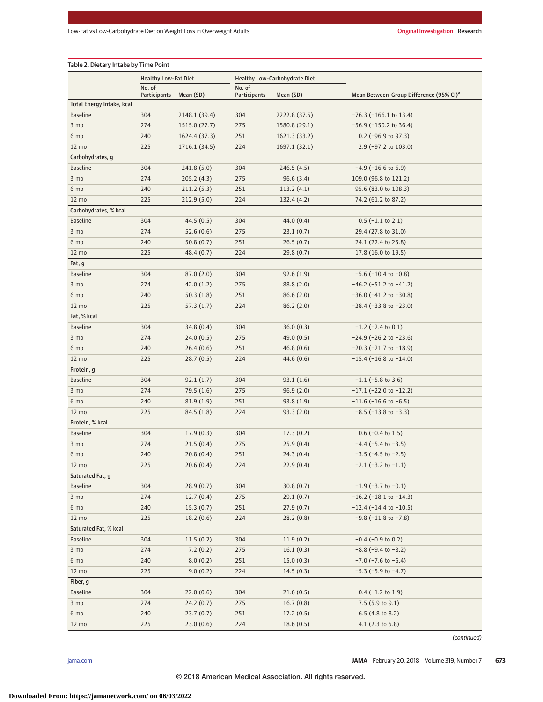| Table 2. Dietary Intake by Time Point                                                                                                                    |  |  |  |  |  |  |  |
|----------------------------------------------------------------------------------------------------------------------------------------------------------|--|--|--|--|--|--|--|
| <b>Healthy Low-Fat Diet</b><br><b>Healthy Low-Carbohydrate Diet</b>                                                                                      |  |  |  |  |  |  |  |
| No. of<br>No. of                                                                                                                                         |  |  |  |  |  |  |  |
| <b>Participants</b><br><b>Participants</b><br>Mean Between-Group Difference (95% CI) <sup>a</sup><br>Mean (SD)<br>Mean (SD)<br>Total Energy Intake, kcal |  |  |  |  |  |  |  |
| 304<br>304<br><b>Baseline</b><br>2148.1 (39.4)<br>2222.8 (37.5)<br>$-76.3$ ( $-166.1$ to 13.4)                                                           |  |  |  |  |  |  |  |
| 274<br>275<br>3 mo<br>1515.0 (27.7)<br>1580.8 (29.1)<br>$-56.9$ ( $-150.2$ to 36.4)                                                                      |  |  |  |  |  |  |  |
| 240<br>251<br>6 mo<br>1624.4 (37.3)<br>1621.3 (33.2)<br>$0.2$ (-96.9 to 97.3)                                                                            |  |  |  |  |  |  |  |
| 225<br>224<br>$12 \text{ mo}$<br>1697.1 (32.1)<br>$2.9$ (-97.2 to 103.0)<br>1716.1 (34.5)                                                                |  |  |  |  |  |  |  |
| Carbohydrates, g                                                                                                                                         |  |  |  |  |  |  |  |
| 304<br><b>Baseline</b><br>304<br>$-4.9$ ( $-16.6$ to 6.9)<br>241.8 (5.0)<br>246.5(4.5)                                                                   |  |  |  |  |  |  |  |
| 274<br>275<br>3 mo<br>205.2(4.3)<br>96.6(3.4)<br>109.0 (96.8 to 121.2)                                                                                   |  |  |  |  |  |  |  |
| 6 mo<br>240<br>251<br>211.2(5.3)<br>113.2(4.1)<br>95.6 (83.0 to 108.3)                                                                                   |  |  |  |  |  |  |  |
| 12 mo<br>224<br>225<br>212.9(5.0)<br>74.2 (61.2 to 87.2)<br>132.4 (4.2)                                                                                  |  |  |  |  |  |  |  |
| Carbohydrates, % kcal                                                                                                                                    |  |  |  |  |  |  |  |
| <b>Baseline</b><br>304<br>304<br>$0.5$ (-1.1 to 2.1)<br>44.5 (0.5)<br>44.0(0.4)                                                                          |  |  |  |  |  |  |  |
| 274<br>275<br>3 mo<br>52.6(0.6)<br>29.4 (27.8 to 31.0)<br>23.1(0.7)                                                                                      |  |  |  |  |  |  |  |
| 251<br>6 mo<br>240<br>50.8(0.7)<br>26.5(0.7)<br>24.1 (22.4 to 25.8)                                                                                      |  |  |  |  |  |  |  |
| 224<br>12 mo<br>225<br>48.4(0.7)<br>17.8 (16.0 to 19.5)<br>29.8(0.7)                                                                                     |  |  |  |  |  |  |  |
| Fat, g                                                                                                                                                   |  |  |  |  |  |  |  |
| 304<br><b>Baseline</b><br>304<br>$-5.6$ ( $-10.4$ to $-0.8$ )<br>87.0(2.0)<br>92.6(1.9)                                                                  |  |  |  |  |  |  |  |
| 275<br>3 mo<br>274<br>42.0(1.2)<br>88.8 (2.0)<br>$-46.2$ ( $-51.2$ to $-41.2$ )                                                                          |  |  |  |  |  |  |  |
| 6 mo<br>251<br>240<br>50.3(1.8)<br>86.6(2.0)<br>$-36.0$ ( $-41.2$ to $-30.8$ )                                                                           |  |  |  |  |  |  |  |
| 12 mo<br>224<br>225<br>57.3(1.7)<br>$-28.4$ ( $-33.8$ to $-23.0$ )<br>86.2(2.0)                                                                          |  |  |  |  |  |  |  |
| Fat, % kcal                                                                                                                                              |  |  |  |  |  |  |  |
| <b>Baseline</b><br>304<br>304<br>$-1.2$ ( $-2.4$ to 0.1)<br>34.8(0.4)<br>36.0(0.3)                                                                       |  |  |  |  |  |  |  |
| 275<br>3 mo<br>274<br>24.0(0.5)<br>49.0(0.5)<br>$-24.9$ ( $-26.2$ to $-23.6$ )                                                                           |  |  |  |  |  |  |  |
| 6 mo<br>240<br>251<br>$-20.3$ ( $-21.7$ to $-18.9$ )<br>26.4(0.6)<br>46.8(0.6)                                                                           |  |  |  |  |  |  |  |
| 12 mo<br>225<br>224<br>$-15.4$ ( $-16.8$ to $-14.0$ )<br>28.7(0.5)<br>44.6 (0.6)                                                                         |  |  |  |  |  |  |  |
| Protein, g                                                                                                                                               |  |  |  |  |  |  |  |
| <b>Baseline</b><br>304<br>92.1(1.7)<br>304<br>$-1.1$ ( $-5.8$ to 3.6)<br>93.1(1.6)                                                                       |  |  |  |  |  |  |  |
| 274<br>275<br>3 mo<br>79.5 (1.6)<br>96.9(2.0)<br>$-17.1$ ( $-22.0$ to $-12.2$ )                                                                          |  |  |  |  |  |  |  |
| 251<br>6 mo<br>240<br>81.9(1.9)<br>$-11.6$ ( $-16.6$ to $-6.5$ )<br>93.8(1.9)                                                                            |  |  |  |  |  |  |  |
| 12 mo<br>225<br>84.5(1.8)<br>224<br>$-8.5$ ( $-13.8$ to $-3.3$ )<br>93.3(2.0)                                                                            |  |  |  |  |  |  |  |
| Protein, % kcal                                                                                                                                          |  |  |  |  |  |  |  |
| <b>Baseline</b><br>304<br>17.9(0.3)<br>304<br>17.3(0.2)<br>$0.6$ (-0.4 to 1.5)                                                                           |  |  |  |  |  |  |  |
| 274<br>275<br>$-4.4$ ( $-5.4$ to $-3.5$ )<br>$3 \text{ mo}$<br>21.5(0.4)<br>25.9(0.4)                                                                    |  |  |  |  |  |  |  |
| 251<br>240<br>20.8(0.4)<br>24.3(0.4)<br>$-3.5$ ( $-4.5$ to $-2.5$ )<br>6 mo                                                                              |  |  |  |  |  |  |  |
| $12 \text{ mo}$<br>225<br>20.6(0.4)<br>224<br>$-2.1$ ( $-3.2$ to $-1.1$ )<br>22.9(0.4)                                                                   |  |  |  |  |  |  |  |
| Saturated Fat, g                                                                                                                                         |  |  |  |  |  |  |  |
| <b>Baseline</b><br>304<br>304<br>30.8(0.7)<br>$-1.9$ ( $-3.7$ to $-0.1$ )<br>28.9(0.7)                                                                   |  |  |  |  |  |  |  |
| 274<br>275<br>$3 \text{ mo}$<br>12.7(0.4)<br>29.1(0.7)<br>$-16.2$ ( $-18.1$ to $-14.3$ )                                                                 |  |  |  |  |  |  |  |
| $6 \text{ mo}$<br>240<br>251<br>15.3(0.7)<br>27.9(0.7)<br>$-12.4$ ( $-14.4$ to $-10.5$ )                                                                 |  |  |  |  |  |  |  |
| $12 \text{ mo}$<br>225<br>224<br>18.2(0.6)<br>28.2(0.8)<br>$-9.8$ ( $-11.8$ to $-7.8$ )                                                                  |  |  |  |  |  |  |  |
| Saturated Fat, % kcal                                                                                                                                    |  |  |  |  |  |  |  |
| <b>Baseline</b><br>304<br>304<br>$-0.4$ ( $-0.9$ to 0.2)<br>11.5(0.2)<br>11.9(0.2)                                                                       |  |  |  |  |  |  |  |
| $3 \text{ mo}$<br>274<br>7.2(0.2)<br>275<br>$-8.8$ ( $-9.4$ to $-8.2$ )<br>16.1(0.3)<br>251                                                              |  |  |  |  |  |  |  |
| 6 mo<br>240<br>8.0(0.2)<br>$-7.0$ ( $-7.6$ to $-6.4$ )<br>15.0(0.3)                                                                                      |  |  |  |  |  |  |  |
| $12 \text{ mo}$<br>225<br>9.0(0.2)<br>224<br>$-5.3$ ( $-5.9$ to $-4.7$ )<br>14.5(0.3)<br>Fiber, g                                                        |  |  |  |  |  |  |  |
| <b>Baseline</b><br>304<br>304<br>$0.4$ (-1.2 to 1.9)<br>22.0(0.6)<br>21.6(0.5)                                                                           |  |  |  |  |  |  |  |
| $3 \text{ mo}$<br>274<br>24.2(0.7)<br>275<br>$7.5$ (5.9 to 9.1)<br>16.7(0.8)                                                                             |  |  |  |  |  |  |  |
| 6 mo<br>240<br>23.7(0.7)<br>251<br>$6.5$ (4.8 to 8.2)<br>17.2(0.5)                                                                                       |  |  |  |  |  |  |  |
| $12 \text{ mo}$<br>225<br>23.0(0.6)<br>224<br>$4.1$ (2.3 to 5.8)<br>18.6(0.5)                                                                            |  |  |  |  |  |  |  |

(continued)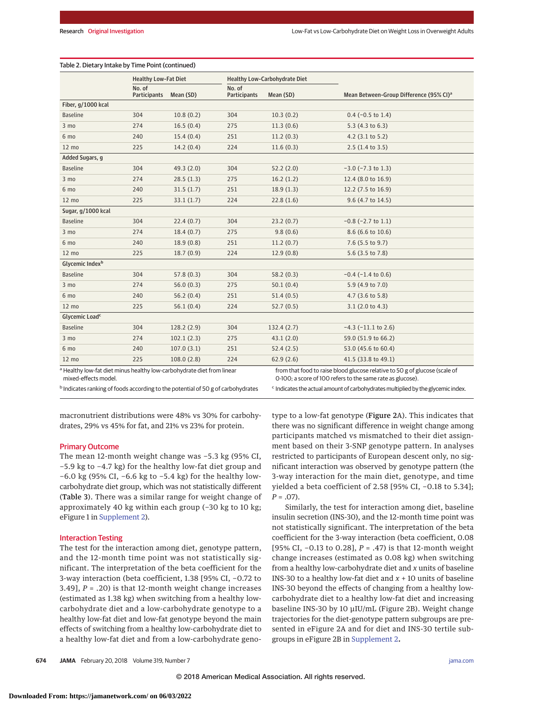|                                                                                                | <b>Healthy Low-Fat Diet</b>   |            |                               | <b>Healthy Low-Carbohydrate Diet</b>                                                                                                      |                                                     |  |  |
|------------------------------------------------------------------------------------------------|-------------------------------|------------|-------------------------------|-------------------------------------------------------------------------------------------------------------------------------------------|-----------------------------------------------------|--|--|
|                                                                                                | No. of<br><b>Participants</b> | Mean (SD)  | No. of<br><b>Participants</b> | Mean (SD)                                                                                                                                 | Mean Between-Group Difference (95% CI) <sup>a</sup> |  |  |
| Fiber, g/1000 kcal                                                                             |                               |            |                               |                                                                                                                                           |                                                     |  |  |
| <b>Baseline</b>                                                                                | 304                           | 10.8(0.2)  | 304                           | 10.3(0.2)                                                                                                                                 | $0.4$ (-0.5 to 1.4)                                 |  |  |
| 3 mo                                                                                           | 274                           | 16.5(0.4)  | 275                           | 11.3(0.6)                                                                                                                                 | $5.3$ (4.3 to 6.3)                                  |  |  |
| 6 mo                                                                                           | 240                           | 15.4(0.4)  | 251                           | 11.2(0.3)                                                                                                                                 | $4.2$ (3.1 to 5.2)                                  |  |  |
| $12 \text{ mo}$                                                                                | 225                           | 14.2(0.4)  | 224                           | 11.6(0.3)                                                                                                                                 | $2.5(1.4 \text{ to } 3.5)$                          |  |  |
| Added Sugars, g                                                                                |                               |            |                               |                                                                                                                                           |                                                     |  |  |
| <b>Baseline</b>                                                                                | 304                           | 49.3(2.0)  | 304                           | 52.2(2.0)                                                                                                                                 | $-3.0$ ( $-7.3$ to 1.3)                             |  |  |
| 3 mo                                                                                           | 274                           | 28.5(1.3)  | 275                           | 16.2(1.2)                                                                                                                                 | 12.4 (8.0 to 16.9)                                  |  |  |
| 6 mo                                                                                           | 240                           | 31.5(1.7)  | 251                           | 18.9(1.3)                                                                                                                                 | 12.2 (7.5 to 16.9)                                  |  |  |
| $12 \text{ mo}$                                                                                | 225                           | 33.1(1.7)  | 224                           | 22.8(1.6)                                                                                                                                 | 9.6 (4.7 to 14.5)                                   |  |  |
| Sugar, g/1000 kcal                                                                             |                               |            |                               |                                                                                                                                           |                                                     |  |  |
| <b>Baseline</b>                                                                                | 304                           | 22.4(0.7)  | 304                           | 23.2(0.7)                                                                                                                                 | $-0.8$ ( $-2.7$ to 1.1)                             |  |  |
| 3 mo                                                                                           | 274                           | 18.4(0.7)  | 275                           | 9.8(0.6)                                                                                                                                  | 8.6 (6.6 to 10.6)                                   |  |  |
| 6 mo                                                                                           | 240                           | 18.9(0.8)  | 251                           | 11.2(0.7)                                                                                                                                 | $7.6$ (5.5 to 9.7)                                  |  |  |
| $12 \text{ mo}$                                                                                | 225                           | 18.7(0.9)  | 224                           | 12.9(0.8)                                                                                                                                 | 5.6 (3.5 to 7.8)                                    |  |  |
| Glycemic Index <sup>b</sup>                                                                    |                               |            |                               |                                                                                                                                           |                                                     |  |  |
| <b>Baseline</b>                                                                                | 304                           | 57.8(0.3)  | 304                           | 58.2(0.3)                                                                                                                                 | $-0.4$ ( $-1.4$ to 0.6)                             |  |  |
| 3 mo                                                                                           | 274                           | 56.0(0.3)  | 275                           | 50.1(0.4)                                                                                                                                 | 5.9 (4.9 to 7.0)                                    |  |  |
| 6 mo                                                                                           | 240                           | 56.2(0.4)  | 251                           | 51.4(0.5)                                                                                                                                 | $4.7$ (3.6 to 5.8)                                  |  |  |
| $12 \text{ mo}$                                                                                | 225                           | 56.1(0.4)  | 224                           | 52.7(0.5)                                                                                                                                 | $3.1$ (2.0 to 4.3)                                  |  |  |
| Glycemic Load <sup>c</sup>                                                                     |                               |            |                               |                                                                                                                                           |                                                     |  |  |
| <b>Baseline</b>                                                                                | 304                           | 128.2(2.9) | 304                           | 132.4(2.7)                                                                                                                                | $-4.3$ ( $-11.1$ to 2.6)                            |  |  |
| 3 mo                                                                                           | 274                           | 102.1(2.3) | 275                           | 43.1(2.0)                                                                                                                                 | 59.0 (51.9 to 66.2)                                 |  |  |
| 6 mo                                                                                           | 240                           | 107.0(3.1) | 251                           | 52.4(2.5)                                                                                                                                 | 53.0 (45.6 to 60.4)                                 |  |  |
| $12 \text{ mo}$                                                                                | 225                           | 108.0(2.8) | 224                           | 62.9(2.6)                                                                                                                                 | 41.5 (33.8 to 49.1)                                 |  |  |
| a Healthy low-fat diet minus healthy low-carbohydrate diet from linear<br>mixed-effects model. |                               |            |                               | from that food to raise blood glucose relative to 50 g of glucose (scale of<br>0-100; a score of 100 refers to the same rate as glucose). |                                                     |  |  |
| <sup>b</sup> Indicates ranking of foods according to the potential of 50 g of carbohydrates    |                               |            |                               | <sup>c</sup> Indicates the actual amount of carbohydrates multiplied by the glycemic index.                                               |                                                     |  |  |

## Table 2. Dietary Intake by Time Point (continued)

macronutrient distributions were 48% vs 30% for carbohydrates, 29% vs 45% for fat, and 21% vs 23% for protein.

## Primary Outcome

The mean 12-month weight change was −5.3 kg (95% CI, −5.9 kg to −4.7 kg) for the healthy low-fat diet group and −6.0 kg (95% CI, −6.6 kg to −5.4 kg) for the healthy lowcarbohydrate diet group, which was not statistically different (Table 3). There was a similar range for weight change of approximately 40 kg within each group (−30 kg to 10 kg; eFigure 1 in [Supplement 2\)](http://jama.jamanetwork.com/article.aspx?doi=10.1001/jama.2018.0245&utm_campaign=articlePDF%26utm_medium=articlePDFlink%26utm_source=articlePDF%26utm_content=jama.2018.0245).

## Interaction Testing

The test for the interaction among diet, genotype pattern, and the 12-month time point was not statistically significant. The interpretation of the beta coefficient for the 3-way interaction (beta coefficient, 1.38 [95% CI, −0.72 to 3.49], *P* = .20) is that 12-month weight change increases (estimated as 1.38 kg) when switching from a healthy lowcarbohydrate diet and a low-carbohydrate genotype to a healthy low-fat diet and low-fat genotype beyond the main effects of switching from a healthy low-carbohydrate diet to a healthy low-fat diet and from a low-carbohydrate genotype to a low-fat genotype (Figure 2A). This indicates that there was no significant difference in weight change among participants matched vs mismatched to their diet assignment based on their 3-SNP genotype pattern. In analyses restricted to participants of European descent only, no significant interaction was observed by genotype pattern (the 3-way interaction for the main diet, genotype, and time yielded a beta coefficient of 2.58 [95% CI, −0.18 to 5.34]; *P* = .07).

Similarly, the test for interaction among diet, baseline insulin secretion (INS-30), and the 12-month time point was not statistically significant. The interpretation of the beta coefficient for the 3-way interaction (beta coefficient, 0.08 [95% CI, −0.13 to 0.28], *P* = .47) is that 12-month weight change increases (estimated as 0.08 kg) when switching from a healthy low-carbohydrate diet and *x* units of baseline INS-30 to a healthy low-fat diet and *x* + 10 units of baseline INS-30 beyond the effects of changing from a healthy lowcarbohydrate diet to a healthy low-fat diet and increasing baseline INS-30 by 10 μIU/mL (Figure 2B). Weight change trajectories for the diet-genotype pattern subgroups are presented in eFigure 2A and for diet and INS-30 tertile subgroups in eFigure 2B in [Supplement 2](http://jama.jamanetwork.com/article.aspx?doi=10.1001/jama.2018.0245&utm_campaign=articlePDF%26utm_medium=articlePDFlink%26utm_source=articlePDF%26utm_content=jama.2018.0245)**.**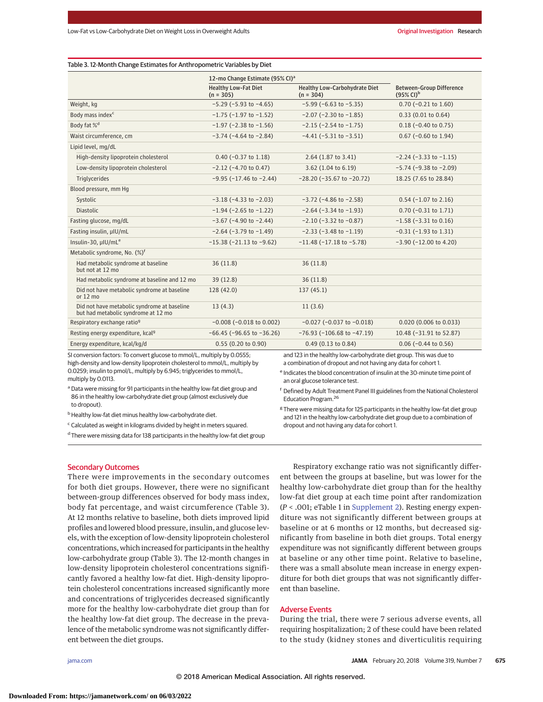| Table 3.12-Month Change Estimates for Anthropometric Variables by Diet             |                                             |                                                     |                                                             |  |  |  |
|------------------------------------------------------------------------------------|---------------------------------------------|-----------------------------------------------------|-------------------------------------------------------------|--|--|--|
|                                                                                    | 12-mo Change Estimate (95% CI) <sup>a</sup> |                                                     |                                                             |  |  |  |
|                                                                                    | <b>Healthy Low-Fat Diet</b><br>$(n = 305)$  | <b>Healthy Low-Carbohydrate Diet</b><br>$(n = 304)$ | <b>Between-Group Difference</b><br>$(95\%$ CI) <sup>b</sup> |  |  |  |
| Weight, kg                                                                         | $-5.29$ ( $-5.93$ to $-4.65$ )              | $-5.99$ ( $-6.63$ to $-5.35$ )                      | $0.70$ (-0.21 to 1.60)                                      |  |  |  |
| Body mass index <sup>c</sup>                                                       | $-1.75$ ( $-1.97$ to $-1.52$ )              | $-2.07$ ( $-2.30$ to $-1.85$ )                      | 0.33(0.01 to 0.64)                                          |  |  |  |
| Body fat % <sup>d</sup>                                                            | $-1.97$ ( $-2.38$ to $-1.56$ )              | $-2.15$ ( $-2.54$ to $-1.75$ )                      | $0.18$ (-0.40 to 0.75)                                      |  |  |  |
| Waist circumference, cm                                                            | $-3.74$ ( $-4.64$ to $-2.84$ )              | $-4.41$ ( $-5.31$ to $-3.51$ )                      | $0.67$ (-0.60 to 1.94)                                      |  |  |  |
| Lipid level, mg/dL                                                                 |                                             |                                                     |                                                             |  |  |  |
| High-density lipoprotein cholesterol                                               | $0.40$ (-0.37 to 1.18)                      | 2.64 (1.87 to 3.41)                                 | $-2.24$ ( $-3.33$ to $-1.15$ )                              |  |  |  |
| Low-density lipoprotein cholesterol                                                | $-2.12$ ( $-4.70$ to 0.47)                  | 3.62 (1.04 to 6.19)                                 | $-5.74$ ( $-9.38$ to $-2.09$ )                              |  |  |  |
| Triglycerides                                                                      | $-9.95$ ( $-17.46$ to $-2.44$ )             | $-28.20$ ( $-35.67$ to $-20.72$ )                   | 18.25 (7.65 to 28.84)                                       |  |  |  |
| Blood pressure, mm Hq                                                              |                                             |                                                     |                                                             |  |  |  |
| Systolic                                                                           | $-3.18$ ( $-4.33$ to $-2.03$ )              | $-3.72$ ( $-4.86$ to $-2.58$ )                      | $0.54$ (-1.07 to 2.16)                                      |  |  |  |
| <b>Diastolic</b>                                                                   | $-1.94$ ( $-2.65$ to $-1.22$ )              | $-2.64$ ( $-3.34$ to $-1.93$ )                      | $0.70$ (-0.31 to 1.71)                                      |  |  |  |
| Fasting glucose, mg/dL                                                             | $-3.67$ ( $-4.90$ to $-2.44$ )              | $-2.10$ ( $-3.32$ to $-0.87$ )                      | $-1.58$ ( $-3.31$ to 0.16)                                  |  |  |  |
| Fasting insulin, µIU/mL                                                            | $-2.64$ ( $-3.79$ to $-1.49$ )              | $-2.33$ ( $-3.48$ to $-1.19$ )                      | $-0.31$ ( $-1.93$ to 1.31)                                  |  |  |  |
| Insulin-30, µIU/mL <sup>e</sup>                                                    | $-15.38$ ( $-21.13$ to $-9.62$ )            | $-11.48$ ( $-17.18$ to $-5.78$ )                    | $-3.90$ ( $-12.00$ to 4.20)                                 |  |  |  |
| Metabolic syndrome, No. (%) <sup>f</sup>                                           |                                             |                                                     |                                                             |  |  |  |
| Had metabolic syndrome at baseline<br>but not at 12 mo                             | 36(11.8)                                    | 36(11.8)                                            |                                                             |  |  |  |
| Had metabolic syndrome at baseline and 12 mo                                       | 39 (12.8)                                   | 36(11.8)                                            |                                                             |  |  |  |
| Did not have metabolic syndrome at baseline<br>or $12 \text{ mo}$                  | 128 (42.0)                                  | 137(45.1)                                           |                                                             |  |  |  |
| Did not have metabolic syndrome at baseline<br>but had metabolic syndrome at 12 mo | 13(4.3)                                     | 11(3.6)                                             |                                                             |  |  |  |
| Respiratory exchange ratio <sup>9</sup>                                            | $-0.008$ ( $-0.018$ to 0.002)               | $-0.027$ ( $-0.037$ to $-0.018$ )                   | 0.020 (0.006 to 0.033)                                      |  |  |  |
| Resting energy expenditure, kcal <sup>9</sup>                                      | $-66.45$ ( $-96.65$ to $-36.26$ )           | $-76.93$ ( $-106.68$ to $-47.19$ )                  | 10.48 (-31.91 to 52.87)                                     |  |  |  |
| Energy expenditure, kcal/kg/d                                                      | 0.55 (0.20 to 0.90)                         | $0.49$ (0.13 to 0.84)                               | $0.06$ (-0.44 to 0.56)                                      |  |  |  |

SI conversion factors: To convert glucose to mmol/L, multiply by 0.0555; high-density and low-density lipoprotein cholesterol to mmol/L, multiply by 0.0259; insulin to pmol/L, multiply by 6.945; triglycerides to mmol/L, multiply by 0.0113.

and 123 in the healthy low-carbohydrate diet group. This was due to a combination of dropout and not having any data for cohort 1.

<sup>e</sup> Indicates the blood concentration of insulin at the 30-minute time point of an oral glucose tolerance test.

<sup>a</sup> Data were missing for 91 participants in the healthy low-fat diet group and 86 in the healthy low-carbohydrate diet group (almost exclusively due to dropout).

b Healthy low-fat diet minus healthy low-carbohydrate diet.

<sup>c</sup> Calculated as weight in kilograms divided by height in meters squared.

<sup>d</sup> There were missing data for 138 participants in the healthy low-fat diet group

<sup>f</sup> Defined by Adult Treatment Panel III guidelines from the National Cholesterol Education Program.26

<sup>g</sup> There were missing data for 125 participants in the healthy low-fat diet group and 121 in the healthy low-carbohydrate diet group due to a combination of dropout and not having any data for cohort 1.

#### Secondary Outcomes

There were improvements in the secondary outcomes for both diet groups. However, there were no significant between-group differences observed for body mass index, body fat percentage, and waist circumference (Table 3). At 12 months relative to baseline, both diets improved lipid profiles and lowered blood pressure, insulin, and glucose levels, with the exception of low-density lipoprotein cholesterol concentrations, which increased for participants in the healthy low-carbohydrate group (Table 3). The 12-month changes in low-density lipoprotein cholesterol concentrations significantly favored a healthy low-fat diet. High-density lipoprotein cholesterol concentrations increased significantly more and concentrations of triglycerides decreased significantly more for the healthy low-carbohydrate diet group than for the healthy low-fat diet group. The decrease in the prevalence of the metabolic syndrome was not significantly different between the diet groups.

Respiratory exchange ratio was not significantly different between the groups at baseline, but was lower for the healthy low-carbohydrate diet group than for the healthy low-fat diet group at each time point after randomization (*P* < .001; eTable 1 in [Supplement 2\)](http://jama.jamanetwork.com/article.aspx?doi=10.1001/jama.2018.0245&utm_campaign=articlePDF%26utm_medium=articlePDFlink%26utm_source=articlePDF%26utm_content=jama.2018.0245). Resting energy expenditure was not significantly different between groups at baseline or at 6 months or 12 months, but decreased significantly from baseline in both diet groups. Total energy expenditure was not significantly different between groups at baseline or any other time point. Relative to baseline, there was a small absolute mean increase in energy expenditure for both diet groups that was not significantly different than baseline.

## Adverse Events

During the trial, there were 7 serious adverse events, all requiring hospitalization; 2 of these could have been related to the study (kidney stones and diverticulitis requiring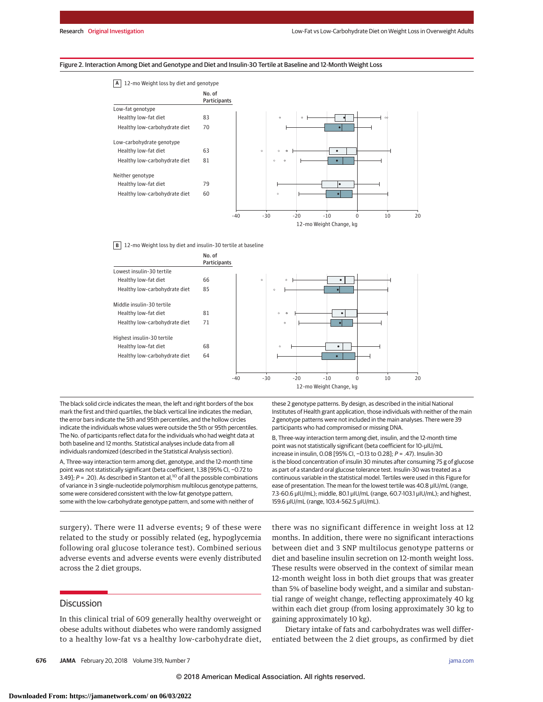#### Figure 2. Interaction Among Diet and Genotype and Diet and Insulin-30 Tertile at Baseline and 12-Month Weight Loss

|                               | No. of<br>Participants |         |                    |         |                         |          |          |    |
|-------------------------------|------------------------|---------|--------------------|---------|-------------------------|----------|----------|----|
| Low-fat genotype              |                        |         |                    |         |                         |          |          |    |
| Healthy low-fat diet          | 83                     |         | $\circ$            | $\circ$ |                         |          | $\infty$ |    |
| Healthy low-carbohydrate diet | 70                     |         |                    |         |                         |          |          |    |
| Low-carbohydrate genotype     |                        |         |                    |         |                         |          |          |    |
| Healthy low-fat diet          | 63                     | $\circ$ | $\circ$<br>$\circ$ |         |                         |          |          |    |
| Healthy low-carbohydrate diet | 81                     |         | $\circ$<br>$\circ$ |         |                         |          |          |    |
| Neither genotype              |                        |         |                    |         |                         |          |          |    |
| Healthy low-fat diet          | 79                     |         |                    |         | $\bullet$               |          |          |    |
| Healthy low-carbohydrate diet | 60                     |         | $\circ$            |         |                         |          |          |    |
|                               |                        |         |                    |         |                         |          |          |    |
|                               | $-40$                  |         | $-30$              | $-20$   | $-10$                   | $\Omega$ | 10       | 20 |
|                               |                        |         |                    |         | 12-mo Weight Change, kg |          |          |    |

**B** 12-mo Weight loss by diet and insulin-30 tertile at baseline



The black solid circle indicates the mean, the left and right borders of the box mark the first and third quartiles, the black vertical line indicates the median, the error bars indicate the 5th and 95th percentiles, and the hollow circles indicate the individuals whose values were outside the 5th or 95th percentiles. The No. of participants reflect data for the individuals who had weight data at both baseline and 12 months. Statistical analyses include data from all individuals randomized (described in the Statistical Analysis section). A, Three-way interaction term among diet, genotype, and the 12-month time

point was not statistically significant (beta coefficient, 1.38 [95% CI, −0.72 to 3.49];  $P = 0.20$ . As described in Stanton et al,<sup>10</sup> of all the possible combinations of variance in 3 single-nucleotide polymorphism multilocus genotype patterns, some were considered consistent with the low-fat genotype pattern, some with the low-carbohydrate genotype pattern, and some with neither of

surgery). There were 11 adverse events; 9 of these were related to the study or possibly related (eg, hypoglycemia following oral glucose tolerance test). Combined serious adverse events and adverse events were evenly distributed across the 2 diet groups.

# **Discussion**

In this clinical trial of 609 generally healthy overweight or obese adults without diabetes who were randomly assigned to a healthy low-fat vs a healthy low-carbohydrate diet, these 2 genotype patterns. By design, as described in the initial National Institutes of Health grant application, those individuals with neither of the main 2 genotype patterns were not included in the main analyses. There were 39 participants who had compromised or missing DNA.

B, Three-way interaction term among diet, insulin, and the 12-month time point was not statistically significant (beta coefficient for 10-μIU/mL increase in insulin, 0.08 [95% CI, −0.13 to 0.28]; P = .47). Insulin-30 is the blood concentration of insulin 30 minutes after consuming 75 g of glucose as part of a standard oral glucose tolerance test. Insulin-30 was treated as a continuous variable in the statistical model. Tertiles were used in this Figure for ease of presentation. The mean for the lowest tertile was 40.8 μIU/mL (range, 7.3-60.6 μIU/mL); middle, 80.1 μIU/mL (range, 60.7-103.1 μIU/mL); and highest, 159.6 μIU/mL (range, 103.4-562.5 μIU/mL).

there was no significant difference in weight loss at 12 months. In addition, there were no significant interactions between diet and 3 SNP multilocus genotype patterns or diet and baseline insulin secretion on 12-month weight loss. These results were observed in the context of similar mean 12-month weight loss in both diet groups that was greater than 5% of baseline body weight, and a similar and substantial range of weight change, reflecting approximately 40 kg within each diet group (from losing approximately 30 kg to gaining approximately 10 kg).

Dietary intake of fats and carbohydrates was well differentiated between the 2 diet groups, as confirmed by diet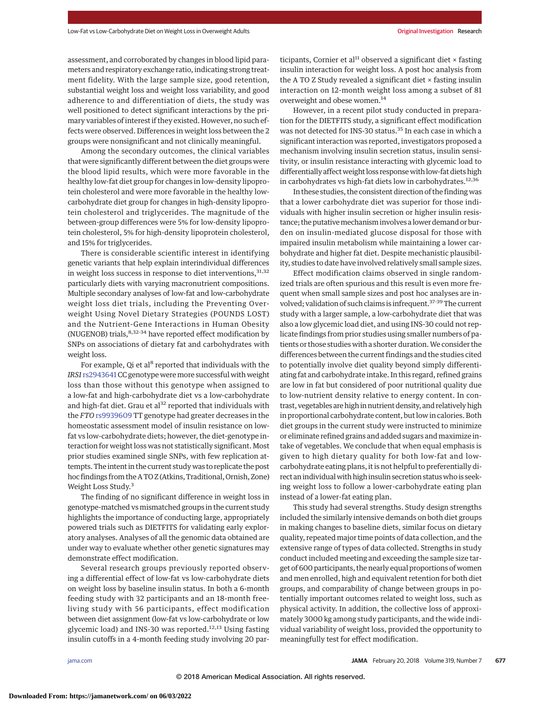assessment, and corroborated by changes in blood lipid parameters and respiratory exchange ratio, indicating strong treatment fidelity. With the large sample size, good retention, substantial weight loss and weight loss variability, and good adherence to and differentiation of diets, the study was well positioned to detect significant interactions by the primary variables of interest if they existed. However, no such effects were observed. Differences in weight loss between the 2 groups were nonsignificant and not clinically meaningful.

Among the secondary outcomes, the clinical variables that were significantly different between the diet groups were the blood lipid results, which were more favorable in the healthy low-fat diet group for changes in low-density lipoprotein cholesterol and were more favorable in the healthy lowcarbohydrate diet group for changes in high-density lipoprotein cholesterol and triglycerides. The magnitude of the between-group differences were 5% for low-density lipoprotein cholesterol, 5% for high-density lipoprotein cholesterol, and 15% for triglycerides.

There is considerable scientific interest in identifying genetic variants that help explain interindividual differences in weight loss success in response to diet interventions, 31,32 particularly diets with varying macronutrient compositions. Multiple secondary analyses of low-fat and low-carbohydrate weight loss diet trials, including the Preventing Overweight Using Novel Dietary Strategies (POUNDS LOST) and the Nutrient-Gene Interactions in Human Obesity (NUGENOB) trials,  $8,32-34$  have reported effect modification by SNPs on associations of dietary fat and carbohydrates with weight loss.

For example, Qi et al<sup>8</sup> reported that individuals with the *IRS1* [rs2943641C](https://www.ncbi.nlm.nih.gov/snp/2943641)C genotype weremore successful with weight loss than those without this genotype when assigned to a low-fat and high-carbohydrate diet vs a low-carbohydrate and high-fat diet. Grau et al $32$  reported that individuals with the *FTO* [rs9939609](https://www.ncbi.nlm.nih.gov/snp/9939609) TT genotype had greater decreases in the homeostatic assessment model of insulin resistance on lowfat vs low-carbohydrate diets; however, the diet-genotype interaction for weight loss was not statistically significant. Most prior studies examined single SNPs, with few replication attempts. The intent in the current study was to replicate the post hoc findings from the A TO Z (Atkins, Traditional, Ornish, Zone) Weight Loss Study.<sup>3</sup>

The finding of no significant difference in weight loss in genotype-matched vsmismatched groups in the current study highlights the importance of conducting large, appropriately powered trials such as DIETFITS for validating early exploratory analyses. Analyses of all the genomic data obtained are under way to evaluate whether other genetic signatures may demonstrate effect modification.

Several research groups previously reported observing a differential effect of low-fat vs low-carbohydrate diets on weight loss by baseline insulin status. In both a 6-month feeding study with 32 participants and an 18-month freeliving study with 56 participants, effect modification between diet assignment (low-fat vs low-carbohydrate or low glycemic load) and INS-30 was reported.<sup>12,13</sup> Using fasting insulin cutoffs in a 4-month feeding study involving 20 participants, Cornier et al<sup>11</sup> observed a significant diet  $\times$  fasting insulin interaction for weight loss. A post hoc analysis from the A TO Z Study revealed a significant diet  $\times$  fasting insulin interaction on 12-month weight loss among a subset of 81 overweight and obese women.<sup>14</sup>

However, in a recent pilot study conducted in preparation for the DIETFITS study, a significant effect modification was not detected for INS-30 status.<sup>35</sup> In each case in which a significant interaction was reported, investigators proposed a mechanism involving insulin secretion status, insulin sensitivity, or insulin resistance interacting with glycemic load to differentially affect weight loss response with low-fat diets high in carbohydrates vs high-fat diets low in carbohydrates.<sup>12,36</sup>

In these studies, the consistent direction of the finding was that a lower carbohydrate diet was superior for those individuals with higher insulin secretion or higher insulin resistance; the putative mechanism involves a lower demand or burden on insulin-mediated glucose disposal for those with impaired insulin metabolism while maintaining a lower carbohydrate and higher fat diet. Despite mechanistic plausibility, studies to date have involved relatively small sample sizes.

Effect modification claims observed in single randomized trials are often spurious and this result is even more frequent when small sample sizes and post hoc analyses are involved; validation of such claims is infrequent.<sup>37-39</sup>The current study with a larger sample, a low-carbohydrate diet that was also a low glycemic load diet, and using INS-30 could not replicate findings from prior studies using smaller numbers of patients or those studies with a shorter duration.We consider the differences between the current findings and the studies cited to potentially involve diet quality beyond simply differentiating fat and carbohydrate intake. In this regard, refined grains are low in fat but considered of poor nutritional quality due to low-nutrient density relative to energy content. In contrast, vegetables are high in nutrient density, and relatively high in proportional carbohydrate content, but low in calories. Both diet groups in the current study were instructed to minimize or eliminate refined grains and added sugars and maximize intake of vegetables. We conclude that when equal emphasis is given to high dietary quality for both low-fat and lowcarbohydrate eating plans, it is not helpful to preferentially direct an individual with high insulin secretion status who is seeking weight loss to follow a lower-carbohydrate eating plan instead of a lower-fat eating plan.

This study had several strengths. Study design strengths included the similarly intensive demands on both diet groups in making changes to baseline diets, similar focus on dietary quality, repeated major time points of data collection, and the extensive range of types of data collected. Strengths in study conduct included meeting and exceeding the sample size target of 600 participants, the nearly equal proportions of women and men enrolled, high and equivalent retention for both diet groups, and comparability of change between groups in potentially important outcomes related to weight loss, such as physical activity. In addition, the collective loss of approximately 3000 kg among study participants, and the wide individual variability of weight loss, provided the opportunity to meaningfully test for effect modification.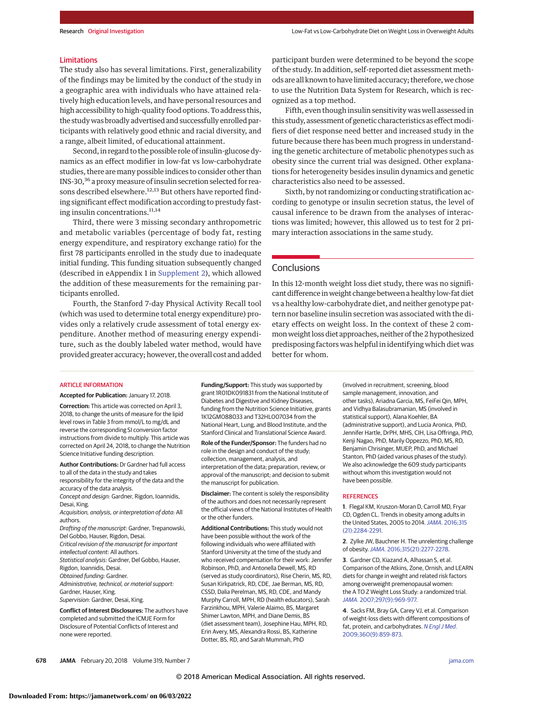#### Limitations

The study also has several limitations. First, generalizability of the findings may be limited by the conduct of the study in a geographic area with individuals who have attained relatively high education levels, and have personal resources and high accessibility to high-quality food options. To address this, the study was broadly advertised and successfully enrolled participants with relatively good ethnic and racial diversity, and a range, albeit limited, of educational attainment.

Second, in regard to the possible role of insulin-glucose dynamics as an effect modifier in low-fat vs low-carbohydrate studies, there are many possible indices to consider other than INS-30,<sup>36</sup> a proxy measure of insulin secretion selected for reasons described elsewhere.<sup>12,13</sup> But others have reported finding significant effect modification according to prestudy fasting insulin concentrations.<sup>11,14</sup>

Third, there were 3 missing secondary anthropometric and metabolic variables (percentage of body fat, resting energy expenditure, and respiratory exchange ratio) for the first 78 participants enrolled in the study due to inadequate initial funding. This funding situation subsequently changed (described in eAppendix 1 in [Supplement 2\)](https://jama.jamanetwork.com/article.aspx?doi=10.1001/jama.2018.0245&utm_campaign=articlePDF%26utm_medium=articlePDFlink%26utm_source=articlePDF%26utm_content=jama.2018.0245), which allowed the addition of these measurements for the remaining participants enrolled.

Fourth, the Stanford 7-day Physical Activity Recall tool (which was used to determine total energy expenditure) provides only a relatively crude assessment of total energy expenditure. Another method of measuring energy expenditure, such as the doubly labeled water method, would have provided greater accuracy; however, the overall cost and added participant burden were determined to be beyond the scope of the study. In addition, self-reported diet assessment methods are all known to have limited accuracy; therefore, we chose to use the Nutrition Data System for Research, which is recognized as a top method.

Fifth, even though insulin sensitivity was well assessed in this study, assessment of genetic characteristics as effect modifiers of diet response need better and increased study in the future because there has been much progress in understanding the genetic architecture of metabolic phenotypes such as obesity since the current trial was designed. Other explanations for heterogeneity besides insulin dynamics and genetic characteristics also need to be assessed.

Sixth, by not randomizing or conducting stratification according to genotype or insulin secretion status, the level of causal inference to be drawn from the analyses of interactions was limited; however, this allowed us to test for 2 primary interaction associations in the same study.

# **Conclusions**

In this 12-month weight loss diet study, there was no significant difference in weight change between a healthy low-fat diet vs a healthy low-carbohydrate diet, and neither genotype pattern nor baseline insulin secretion was associated with the dietary effects on weight loss. In the context of these 2 common weight loss diet approaches, neither of the 2 hypothesized predisposing factors was helpful in identifying which diet was better for whom.

# ARTICLE INFORMATION

**Accepted for Publication:** January 17, 2018.

**Correction:** This article was corrected on April 3, 2018, to change the units of measure for the lipid level rows in Table 3 from mmol/L to mg/dL and reverse the corresponding SI conversion factor instructions from divide to multiply. This article was corrected on April 24, 2018, to change the Nutrition Science Initiative funding description.

**Author Contributions:** Dr Gardner had full access to all of the data in the study and takes responsibility for the integrity of the data and the accuracy of the data analysis. Concept and design: Gardner, Rigdon, Ioannidis, Desai, King.

Acquisition, analysis, or interpretation of data: All authors.

Drafting of the manuscript: Gardner, Trepanowski, Del Gobbo, Hauser, Rigdon, Desai.

Critical revision of the manuscript for important intellectual content: All authors. Statistical analysis: Gardner, Del Gobbo, Hauser,

Rigdon, Ioannidis, Desai.

Obtained funding: Gardner.

Administrative, technical, or material support: Gardner, Hauser, King. Supervision: Gardner, Desai, King.

**Conflict of Interest Disclosures:** The authors have completed and submitted the ICMJE Form for Disclosure of Potential Conflicts of Interest and none were reported.

**Funding/Support:** This study was supported by grant 1R01DK091831 from the National Institute of Diabetes and Digestive and Kidney Diseases, funding from the Nutrition Science Initiative, grants 1K12GM088033 and T32HL007034 from the National Heart, Lung, and Blood Institute, and the Stanford Clinical and Translational Science Award.

**Role of the Funder/Sponsor:** The funders had no role in the design and conduct of the study; collection, management, analysis, and interpretation of the data; preparation, review, or approval of the manuscript; and decision to submit the manuscript for publication.

**Disclaimer:** The content is solely the responsibility of the authors and does not necessarily represent the official views of the National Institutes of Health or the other funders.

**Additional Contributions:** This study would not have been possible without the work of the following individuals who were affiliated with Stanford University at the time of the study and who received compensation for their work: Jennifer Robinson, PhD, and Antonella Dewell, MS, RD (served as study coordinators), Rise Cherin, MS, RD, Susan Kirkpatrick, RD, CDE, Jae Berman, MS, RD, CSSD, Dalia Perelman, MS, RD, CDE, and Mandy Murphy Carroll, MPH, RD (health educators), Sarah Farzinkhou, MPH, Valerie Alaimo, BS, Margaret Shimer Lawton, MPH, and Diane Demis, BS (diet assessment team), Josephine Hau, MPH, RD, Erin Avery, MS, Alexandra Rossi, BS, Katherine Dotter, BS, RD, and Sarah Mummah, PhD

(involved in recruitment, screening, blood sample management, innovation, and other tasks), Ariadna Garcia, MS, FeiFei Qin, MPH, and Vidhya Balasubramanian, MS (involved in statistical support), Alana Koehler, BA (administrative support), and Lucia Aronica, PhD, Jennifer Hartle, DrPH, MHS, CIH, Lisa Offringa, PhD, Kenji Nagao, PhD, Marily Oppezzo, PhD, MS, RD, Benjamin Chrisinger, MUEP, PhD, and Michael Stanton, PhD (aided various phases of the study). We also acknowledge the 609 study participants without whom this investigation would not have been possible.

## **REFERENCES**

**1**. Flegal KM, Kruszon-Moran D, Carroll MD, Fryar CD, Ogden CL. Trends in obesity among adults in the United States, 2005 to 2014. JAMA[. 2016;315](https://www.ncbi.nlm.nih.gov/pubmed/27272580) [\(21\):2284-2291.](https://www.ncbi.nlm.nih.gov/pubmed/27272580)

**2**. Zylke JW, Bauchner H. The unrelenting challenge of obesity.JAMA[. 2016;315\(21\):2277-2278.](https://www.ncbi.nlm.nih.gov/pubmed/27272578)

**3**. Gardner CD, Kiazand A, Alhassan S, et al. Comparison of the Atkins, Zone, Ornish, and LEARN diets for change in weight and related risk factors among overweight premenopausal women: the A TO Z Weight Loss Study: a randomized trial. JAMA[. 2007;297\(9\):969-977.](https://www.ncbi.nlm.nih.gov/pubmed/17341711)

**4**. Sacks FM, Bray GA, Carey VJ, et al. Comparison of weight-loss diets with different compositions of fat, protein, and carbohydrates. [N Engl J Med](https://www.ncbi.nlm.nih.gov/pubmed/19246357). [2009;360\(9\):859-873.](https://www.ncbi.nlm.nih.gov/pubmed/19246357)